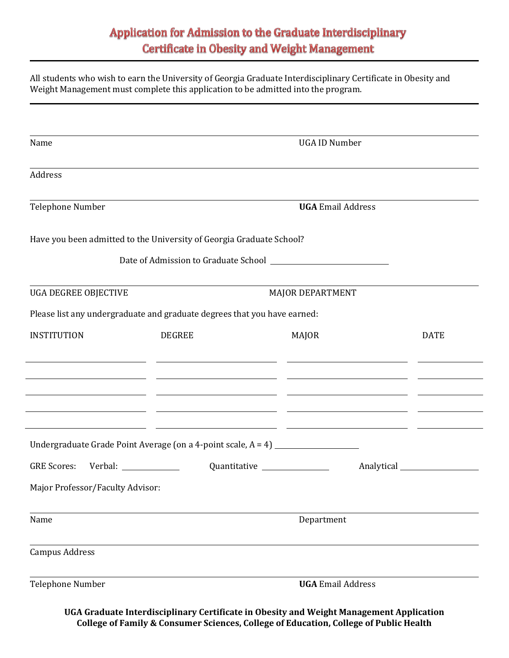## Application for Admission to the Graduate Interdisciplinary **Certificate in Obesity and Weight Management**

All students who wish to earn the University of Georgia Graduate Interdisciplinary Certificate in Obesity and Weight Management must complete this application to be admitted into the program.

| Name                                                                             |               | <b>UGA ID Number</b>                                                                                                 |                 |  |  |  |
|----------------------------------------------------------------------------------|---------------|----------------------------------------------------------------------------------------------------------------------|-----------------|--|--|--|
| Address                                                                          |               |                                                                                                                      |                 |  |  |  |
| Telephone Number                                                                 |               | <b>UGA Email Address</b>                                                                                             |                 |  |  |  |
| Have you been admitted to the University of Georgia Graduate School?             |               |                                                                                                                      |                 |  |  |  |
|                                                                                  |               |                                                                                                                      |                 |  |  |  |
| <b>UGA DEGREE OBJECTIVE</b>                                                      |               | MAJOR DEPARTMENT                                                                                                     |                 |  |  |  |
| Please list any undergraduate and graduate degrees that you have earned:         |               |                                                                                                                      |                 |  |  |  |
| <b>INSTITUTION</b>                                                               | <b>DEGREE</b> | <b>MAJOR</b>                                                                                                         | <b>DATE</b>     |  |  |  |
|                                                                                  |               | <u> 1990 - Jan James James, politik eta idazleari (h. 1908).</u>                                                     |                 |  |  |  |
|                                                                                  |               |                                                                                                                      |                 |  |  |  |
|                                                                                  |               | <u> 1999 - Johann John Stone, mars and de format de la provincia de la provincia de la provincia de la provincia</u> |                 |  |  |  |
| Undergraduate Grade Point Average (on a 4-point scale, A = 4) __________________ |               |                                                                                                                      |                 |  |  |  |
| <b>GRE Scores:</b>                                                               |               | Quantitative _______________                                                                                         | Analytical 1997 |  |  |  |
| Major Professor/Faculty Advisor:                                                 |               |                                                                                                                      |                 |  |  |  |
| Name                                                                             |               | Department                                                                                                           |                 |  |  |  |
| <b>Campus Address</b>                                                            |               |                                                                                                                      |                 |  |  |  |
| <b>Telephone Number</b>                                                          |               | <b>UGA Email Address</b>                                                                                             |                 |  |  |  |

**UGA Graduate Interdisciplinary Certificate in Obesity and Weight Management Application College of Family & Consumer Sciences, College of Education, College of Public Health**